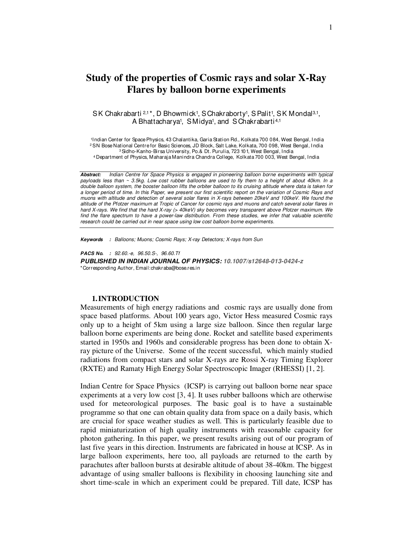# **Study of the properties of Cosmic rays and solar X-Ray Flares by balloon borne experiments**

SK Chakrabarti 2,1\*, D Bhowmick1, SChakraborty1, S Palit1, SK Mondal3,1, A Bhattacharya<sup>1</sup>, SMidya<sup>1</sup>, and SChakrabarti<sup>4,1</sup>

 <sup>1</sup>Indian Center for Space Physics, 43 Chalantika, Garia Station Rd., Kolkata 700 084, West Bengal, I ndia <sup>2</sup> SN Bose National Centre for Basic Sciences, JD Block, Salt Lake, Kolkata, 700 098, West Bengal, India <sup>3</sup>Sidho-Kanho-Birsa University, Po.& Dt. Purulia, 723 101, West Bengal, India <sup>4</sup>Department of Physics, Maharaja Manindra Chandra College, Kolkata 700 003, West Bengal, India

*Abstract:* Indian Centre for Space Physics is engaged in pioneering balloon borne experiments with typical payloads less than ~ 3.5kg. Low cost rubber balloons are used to fly them to a height of about 40km. In a double balloon system, the booster balloon lifts the orbiter balloon to its cruising altitude where data is taken for a longer period of time. In this Paper, we present our first scientific report on the variation of Cosmic Rays and muons with altitude and detection of several solar flares in X-rays between 20keV and 100keV. We found the altitude of the Pfotzer maximum at Tropic of Cancer for cosmic rays and muons and catch several solar flares in hard X-rays. We find that the hard X-ray (> 40keV) sky becomes very transparent above Pfotzer maximum. We find the flare spectrum to have a power-law distribution. From these studies, we infer that valuable scientific research could be carried out in near space using low cost balloon borne experiments.

*Keywords :* Balloons; Muons; Cosmic Rays; X-ray Detectors; X-rays from Sun

*PACS No. :* 92.60.-e, 96.50.S-, 96.60.Tf

*PUBLISHED IN INDIAN JOURNAL OF PHYSICS: 10.1007/s12648-013-0424-z* \*Corresponding Author, Email:chakraba@bose.res.in

#### **1.INTRODUCTION**

Measurements of high energy radiations and cosmic rays are usually done from space based platforms. About 100 years ago, Victor Hess measured Cosmic rays only up to a height of 5km using a large size balloon. Since then regular large balloon borne experiments are being done. Rocket and satellite based experiments started in 1950s and 1960s and considerable progress has been done to obtain Xray picture of the Universe. Some of the recent successful, which mainly studied radiations from compact stars and solar X-rays are Rossi X-ray Timing Explorer (RXTE) and Ramaty High Energy Solar Spectroscopic Imager (RHESSI) [1, 2].

Indian Centre for Space Physics (ICSP) is carrying out balloon borne near space experiments at a very low cost [3, 4]. It uses rubber balloons which are otherwise used for meteorological purposes. The basic goal is to have a sustainable programme so that one can obtain quality data from space on a daily basis, which are crucial for space weather studies as well. This is particularly feasible due to rapid miniaturization of high quality instruments with reasonable capacity for photon gathering. In this paper, we present results arising out of our program of last five years in this direction. Instruments are fabricated in house at ICSP. As in large balloon experiments, here too, all payloads are returned to the earth by parachutes after balloon bursts at desirable altitude of about 38-40km. The biggest advantage of using smaller balloons is flexibility in choosing launching site and short time-scale in which an experiment could be prepared. Till date, ICSP has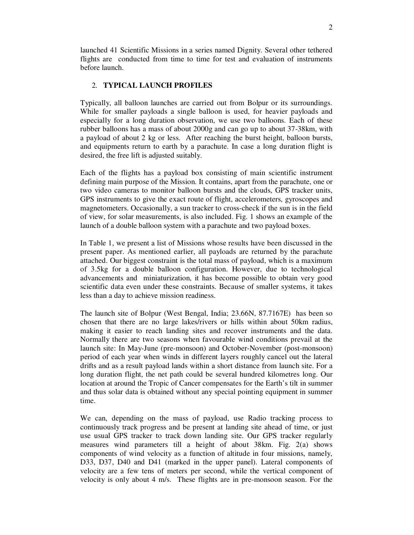launched 41 Scientific Missions in a series named Dignity. Several other tethered flights are conducted from time to time for test and evaluation of instruments before launch.

# 2. **TYPICAL LAUNCH PROFILES**

Typically, all balloon launches are carried out from Bolpur or its surroundings. While for smaller payloads a single balloon is used, for heavier payloads and especially for a long duration observation, we use two balloons. Each of these rubber balloons has a mass of about 2000g and can go up to about 37-38km, with a payload of about 2 kg or less. After reaching the burst height, balloon bursts, and equipments return to earth by a parachute. In case a long duration flight is desired, the free lift is adjusted suitably.

Each of the flights has a payload box consisting of main scientific instrument defining main purpose of the Mission. It contains, apart from the parachute, one or two video cameras to monitor balloon bursts and the clouds, GPS tracker units, GPS instruments to give the exact route of flight, accelerometers, gyroscopes and magnetometers. Occasionally, a sun tracker to cross-check if the sun is in the field of view, for solar measurements, is also included. Fig. 1 shows an example of the launch of a double balloon system with a parachute and two payload boxes.

In Table 1, we present a list of Missions whose results have been discussed in the present paper. As mentioned earlier, all payloads are returned by the parachute attached. Our biggest constraint is the total mass of payload, which is a maximum of 3.5kg for a double balloon configuration. However, due to technological advancements and miniaturization, it has become possible to obtain very good scientific data even under these constraints. Because of smaller systems, it takes less than a day to achieve mission readiness.

The launch site of Bolpur (West Bengal, India; 23.66N, 87.7167E) has been so chosen that there are no large lakes/rivers or hills within about 50km radius, making it easier to reach landing sites and recover instruments and the data. Normally there are two seasons when favourable wind conditions prevail at the launch site: In May-June (pre-monsoon) and October-November (post-monsoon) period of each year when winds in different layers roughly cancel out the lateral drifts and as a result payload lands within a short distance from launch site. For a long duration flight, the net path could be several hundred kilometres long. Our location at around the Tropic of Cancer compensates for the Earth's tilt in summer and thus solar data is obtained without any special pointing equipment in summer time.

We can, depending on the mass of payload, use Radio tracking process to continuously track progress and be present at landing site ahead of time, or just use usual GPS tracker to track down landing site. Our GPS tracker regularly measures wind parameters till a height of about 38km. Fig. 2(a) shows components of wind velocity as a function of altitude in four missions, namely, D33, D37, D40 and D41 (marked in the upper panel). Lateral components of velocity are a few tens of meters per second, while the vertical component of velocity is only about 4 m/s. These flights are in pre-monsoon season. For the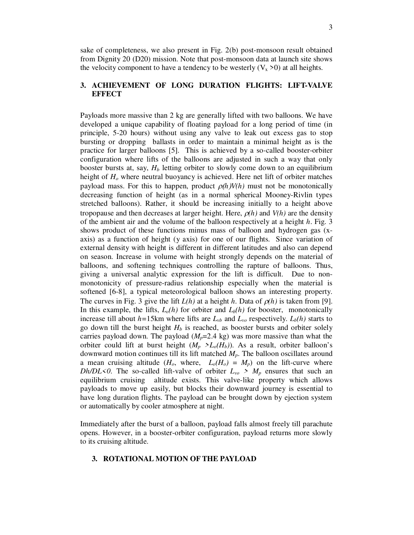sake of completeness, we also present in Fig. 2(b) post-monsoon result obtained from Dignity 20 (D20) mission. Note that post-monsoon data at launch site shows the velocity component to have a tendency to be westerly  $(V_x > 0)$  at all heights.

# **3. ACHIEVEMENT OF LONG DURATION FLIGHTS: LIFT-VALVE EFFECT**

Payloads more massive than 2 kg are generally lifted with two balloons. We have developed a unique capability of floating payload for a long period of time (in principle, 5-20 hours) without using any valve to leak out excess gas to stop bursting or dropping ballasts in order to maintain a minimal height as is the practice for larger balloons [5]. This is achieved by a so-called booster-orbiter configuration where lifts of the balloons are adjusted in such a way that only booster bursts at, say, *Hb* letting orbiter to slowly come down to an equilibrium height of *Ho* where neutral buoyancy is achieved. Here net lift of orbiter matches payload mass. For this to happen, product  $\rho(h)V(h)$  must not be monotonically decreasing function of height (as in a normal spherical Mooney-Rivlin types stretched balloons). Rather, it should be increasing initially to a height above tropopause and then decreases at larger height. Here,  $\rho(h)$  and  $V(h)$  are the density of the ambient air and the volume of the balloon respectively at a height *h*. Fig. 3 shows product of these functions minus mass of balloon and hydrogen gas (xaxis) as a function of height (y axis) for one of our flights. Since variation of external density with height is different in different latitudes and also can depend on season. Increase in volume with height strongly depends on the material of balloons, and softening techniques controlling the rapture of balloons. Thus, giving a universal analytic expression for the lift is difficult. Due to nonmonotonicity of pressure-radius relationship especially when the material is softened [6-8], a typical meteorological balloon shows an interesting property. The curves in Fig. 3 give the lift  $L(h)$  at a height *h*. Data of  $\rho(h)$  is taken from [9]. In this example, the lifts,  $L_o(h)$  for orbiter and  $L_b(h)$  for booster, monotonically increase till about  $h=15$ km where lifts are  $L_{vb}$  and  $L_{vo}$  respectively.  $L_b(h)$  starts to go down till the burst height  $H_b$  is reached, as booster bursts and orbiter solely carries payload down. The payload  $(M_p=2.4 \text{ kg})$  was more massive than what the orbiter could lift at burst height  $(M_p > L_o(H_b))$ . As a result, orbiter balloon's downward motion continues till its lift matched *Mp*. The balloon oscillates around a mean cruising altitude  $(H_o, \text{ where, } L_o(H_o) = M_p)$  on the lift-curve where *Dh/DL*<0. The so-called lift-valve of orbiter  $L_{\nu o} > M_p$  ensures that such an equilibrium cruising altitude exists. This valve-like property which allows payloads to move up easily, but blocks their downward journey is essential to have long duration flights. The payload can be brought down by ejection system or automatically by cooler atmosphere at night.

Immediately after the burst of a balloon, payload falls almost freely till parachute opens. However, in a booster-orbiter configuration, payload returns more slowly to its cruising altitude.

## **3. ROTATIONAL MOTION OF THE PAYLOAD**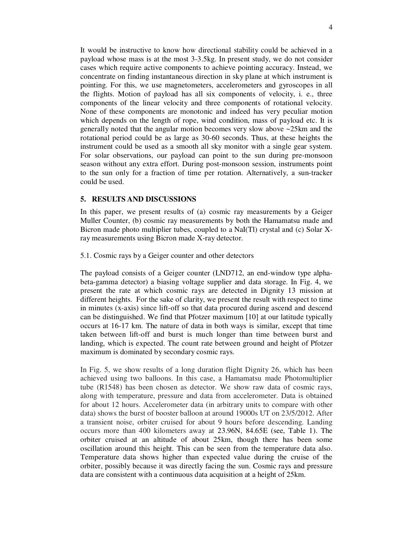It would be instructive to know how directional stability could be achieved in a payload whose mass is at the most 3-3.5kg. In present study, we do not consider cases which require active components to achieve pointing accuracy. Instead, we concentrate on finding instantaneous direction in sky plane at which instrument is pointing. For this, we use magnetometers, accelerometers and gyroscopes in all the flights. Motion of payload has all six components of velocity, i. e., three components of the linear velocity and three components of rotational velocity. None of these components are monotonic and indeed has very peculiar motion which depends on the length of rope, wind condition, mass of payload etc. It is generally noted that the angular motion becomes very slow above ~25km and the rotational period could be as large as 30-60 seconds. Thus, at these heights the instrument could be used as a smooth all sky monitor with a single gear system. For solar observations, our payload can point to the sun during pre-monsoon season without any extra effort. During post-monsoon session, instruments point to the sun only for a fraction of time per rotation. Alternatively, a sun-tracker could be used.

## **5. RESULTS AND DISCUSSIONS**

In this paper, we present results of (a) cosmic ray measurements by a Geiger Muller Counter, (b) cosmic ray measurements by both the Hamamatsu made and Bicron made photo multiplier tubes, coupled to a NaI(Tl) crystal and (c) Solar Xray measurements using Bicron made X-ray detector.

### 5.1. Cosmic rays by a Geiger counter and other detectors

The payload consists of a Geiger counter (LND712, an end-window type alphabeta-gamma detector) a biasing voltage supplier and data storage. In Fig. 4, we present the rate at which cosmic rays are detected in Dignity 13 mission at different heights. For the sake of clarity, we present the result with respect to time in minutes (x-axis) since lift-off so that data procured during ascend and descend can be distinguished. We find that Pfotzer maximum [10] at our latitude typically occurs at 16-17 km. The nature of data in both ways is similar, except that time taken between lift-off and burst is much longer than time between burst and landing, which is expected. The count rate between ground and height of Pfotzer maximum is dominated by secondary cosmic rays.

In Fig. 5, we show results of a long duration flight Dignity 26, which has been achieved using two balloons. In this case, a Hamamatsu made Photomultiplier tube (R1548) has been chosen as detector. We show raw data of cosmic rays, along with temperature, pressure and data from accelerometer. Data is obtained for about 12 hours. Accelerometer data (in arbitrary units to compare with other data) shows the burst of booster balloon at around 19000s UT on 23/5/2012. After a transient noise, orbiter cruised for about 9 hours before descending. Landing occurs more than 400 kilometers away at 23.96N, 84.65E (see, Table 1). The orbiter cruised at an altitude of about 25km, though there has been some oscillation around this height. This can be seen from the temperature data also. Temperature data shows higher than expected value during the cruise of the orbiter, possibly because it was directly facing the sun. Cosmic rays and pressure data are consistent with a continuous data acquisition at a height of 25km.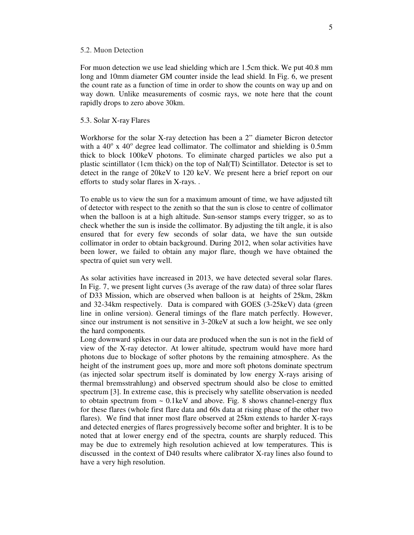#### 5.2. Muon Detection

For muon detection we use lead shielding which are 1.5cm thick. We put 40.8 mm long and 10mm diameter GM counter inside the lead shield. In Fig. 6, we present the count rate as a function of time in order to show the counts on way up and on way down. Unlike measurements of cosmic rays, we note here that the count rapidly drops to zero above 30km.

#### 5.3. Solar X-ray Flares

Workhorse for the solar X-ray detection has been a 2" diameter Bicron detector with a  $40^{\circ}$  x  $40^{\circ}$  degree lead collimator. The collimator and shielding is 0.5mm thick to block 100keV photons. To eliminate charged particles we also put a plastic scintillator (1cm thick) on the top of NaI(Tl) Scintillator. Detector is set to detect in the range of 20keV to 120 keV. We present here a brief report on our efforts to study solar flares in X-rays. .

To enable us to view the sun for a maximum amount of time, we have adjusted tilt of detector with respect to the zenith so that the sun is close to centre of collimator when the balloon is at a high altitude. Sun-sensor stamps every trigger, so as to check whether the sun is inside the collimator. By adjusting the tilt angle, it is also ensured that for every few seconds of solar data, we have the sun outside collimator in order to obtain background. During 2012, when solar activities have been lower, we failed to obtain any major flare, though we have obtained the spectra of quiet sun very well.

As solar activities have increased in 2013, we have detected several solar flares. In Fig. 7, we present light curves (3s average of the raw data) of three solar flares of D33 Mission, which are observed when balloon is at heights of 25km, 28km and 32-34km respectively. Data is compared with GOES (3-25keV) data (green line in online version). General timings of the flare match perfectly. However, since our instrument is not sensitive in 3-20keV at such a low height, we see only the hard components.

Long downward spikes in our data are produced when the sun is not in the field of view of the X-ray detector. At lower altitude, spectrum would have more hard photons due to blockage of softer photons by the remaining atmosphere. As the height of the instrument goes up, more and more soft photons dominate spectrum (as injected solar spectrum itself is dominated by low energy X-rays arising of thermal bremsstrahlung) and observed spectrum should also be close to emitted spectrum [3]. In extreme case, this is precisely why satellite observation is needed to obtain spectrum from  $\sim 0.1 \text{keV}$  and above. Fig. 8 shows channel-energy flux for these flares (whole first flare data and 60s data at rising phase of the other two flares). We find that inner most flare observed at 25km extends to harder X-rays and detected energies of flares progressively become softer and brighter. It is to be noted that at lower energy end of the spectra, counts are sharply reduced. This may be due to extremely high resolution achieved at low temperatures. This is discussed in the context of D40 results where calibrator X-ray lines also found to have a very high resolution.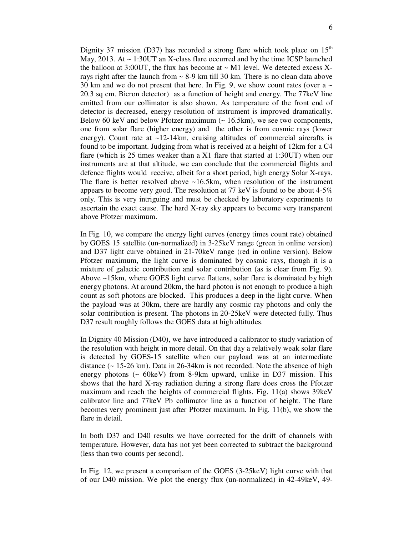Dignity 37 mission (D37) has recorded a strong flare which took place on  $15<sup>th</sup>$ May, 2013. At ~ 1:30UT an X-class flare occurred and by the time ICSP launched the balloon at 3:00UT, the flux has become at  $\sim$  M1 level. We detected excess Xrays right after the launch from  $\sim$  8-9 km till 30 km. There is no clean data above 30 km and we do not present that here. In Fig. 9, we show count rates (over a  $\sim$ 20.3 sq cm. Bicron detector) as a function of height and energy. The 77keV line emitted from our collimator is also shown. As temperature of the front end of detector is decreased, energy resolution of instrument is improved dramatically. Below 60 keV and below Pfotzer maximum  $($   $\sim$  16.5km), we see two components, one from solar flare (higher energy) and the other is from cosmic rays (lower energy). Count rate at  $\sim$ 12-14km, cruising altitudes of commercial aircrafts is found to be important. Judging from what is received at a height of 12km for a C4 flare (which is 25 times weaker than a X1 flare that started at 1:30UT) when our instruments are at that altitude, we can conclude that the commercial flights and defence flights would receive, albeit for a short period, high energy Solar X-rays. The flare is better resolved above ~16.5km, when resolution of the instrument appears to become very good. The resolution at 77 keV is found to be about 4-5% only. This is very intriguing and must be checked by laboratory experiments to ascertain the exact cause. The hard X-ray sky appears to become very transparent above Pfotzer maximum.

In Fig. 10, we compare the energy light curves (energy times count rate) obtained by GOES 15 satellite (un-normalized) in 3-25keV range (green in online version) and D37 light curve obtained in 21-70keV range (red in online version). Below Pfotzer maximum, the light curve is dominated by cosmic rays, though it is a mixture of galactic contribution and solar contribution (as is clear from Fig. 9). Above ~15km, where GOES light curve flattens, solar flare is dominated by high energy photons. At around 20km, the hard photon is not enough to produce a high count as soft photons are blocked. This produces a deep in the light curve. When the payload was at 30km, there are hardly any cosmic ray photons and only the solar contribution is present. The photons in 20-25keV were detected fully. Thus D37 result roughly follows the GOES data at high altitudes.

In Dignity 40 Mission (D40), we have introduced a calibrator to study variation of the resolution with height in more detail. On that day a relatively weak solar flare is detected by GOES-15 satellite when our payload was at an intermediate distance (~ 15-26 km). Data in 26-34km is not recorded. Note the absence of high energy photons (~ 60keV) from 8-9km upward, unlike in D37 mission. This shows that the hard X-ray radiation during a strong flare does cross the Pfotzer maximum and reach the heights of commercial flights. Fig. 11(a) shows 39keV calibrator line and 77keV Pb collimator line as a function of height. The flare becomes very prominent just after Pfotzer maximum. In Fig. 11(b), we show the flare in detail

In both D37 and D40 results we have corrected for the drift of channels with temperature. However, data has not yet been corrected to subtract the background (less than two counts per second).

In Fig. 12, we present a comparison of the GOES (3-25keV) light curve with that of our D40 mission. We plot the energy flux (un-normalized) in 42-49keV, 49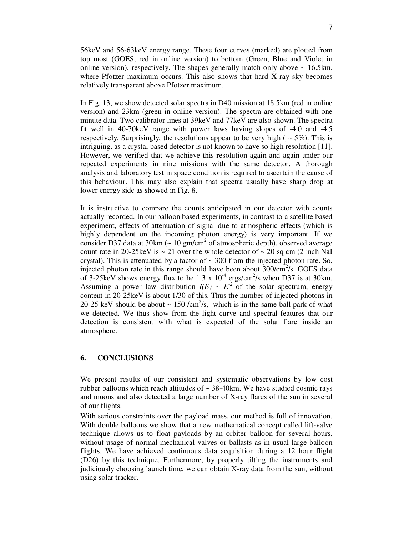56keV and 56-63keV energy range. These four curves (marked) are plotted from top most (GOES, red in online version) to bottom (Green, Blue and Violet in online version), respectively. The shapes generally match only above  $\sim 16.5 \text{km}$ , where Pfotzer maximum occurs. This also shows that hard X-ray sky becomes relatively transparent above Pfotzer maximum.

In Fig. 13, we show detected solar spectra in D40 mission at 18.5km (red in online version) and 23km (green in online version). The spectra are obtained with one minute data. Two calibrator lines at 39keV and 77keV are also shown. The spectra fit well in 40-70keV range with power laws having slopes of -4.0 and -4.5 respectively. Surprisingly, the resolutions appear to be very high ( $\sim$  5%). This is intriguing, as a crystal based detector is not known to have so high resolution [11]. However, we verified that we achieve this resolution again and again under our repeated experiments in nine missions with the same detector. A thorough analysis and laboratory test in space condition is required to ascertain the cause of this behaviour. This may also explain that spectra usually have sharp drop at lower energy side as showed in Fig. 8.

It is instructive to compare the counts anticipated in our detector with counts actually recorded. In our balloon based experiments, in contrast to a satellite based experiment, effects of attenuation of signal due to atmospheric effects (which is highly dependent on the incoming photon energy) is very important. If we consider D37 data at 30km ( $\sim 10 \text{ gm/cm}^2$  of atmospheric depth), observed average count rate in 20-25 keV is  $\sim$  21 over the whole detector of  $\sim$  20 sq cm (2 inch NaI crystal). This is attenuated by a factor of  $\sim$  300 from the injected photon rate. So, injected photon rate in this range should have been about  $300/cm^2/s$ . GOES data of 3-25keV shows energy flux to be 1.3 x  $10^{-4}$  ergs/cm<sup>2</sup>/s when D37 is at 30km. Assuming a power law distribution  $I(E) \sim E^2$  of the solar spectrum, energy content in 20-25keV is about 1/30 of this. Thus the number of injected photons in 20-25 keV should be about  $\sim 150$  /cm<sup>2</sup>/s, which is in the same ball park of what we detected. We thus show from the light curve and spectral features that our detection is consistent with what is expected of the solar flare inside an atmosphere.

## **6. CONCLUSIONS**

We present results of our consistent and systematic observations by low cost rubber balloons which reach altitudes of  $\sim$  38-40km. We have studied cosmic rays and muons and also detected a large number of X-ray flares of the sun in several of our flights.

With serious constraints over the payload mass, our method is full of innovation. With double balloons we show that a new mathematical concept called lift-valve technique allows us to float payloads by an orbiter balloon for several hours, without usage of normal mechanical valves or ballasts as in usual large balloon flights. We have achieved continuous data acquisition during a 12 hour flight (D26) by this technique. Furthermore, by properly tilting the instruments and judiciously choosing launch time, we can obtain X-ray data from the sun, without using solar tracker.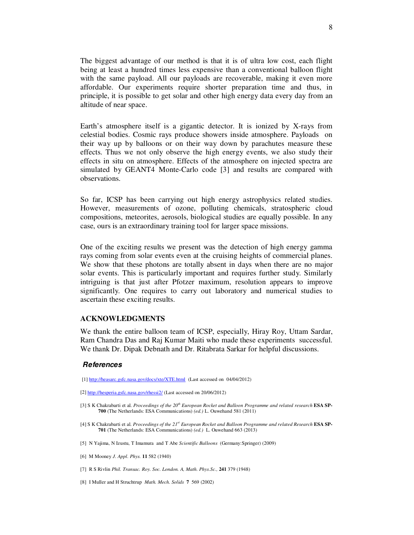The biggest advantage of our method is that it is of ultra low cost, each flight being at least a hundred times less expensive than a conventional balloon flight with the same payload. All our payloads are recoverable, making it even more affordable. Our experiments require shorter preparation time and thus, in principle, it is possible to get solar and other high energy data every day from an altitude of near space.

Earth's atmosphere itself is a gigantic detector. It is ionized by X-rays from celestial bodies. Cosmic rays produce showers inside atmosphere. Payloads on their way up by balloons or on their way down by parachutes measure these effects. Thus we not only observe the high energy events, we also study their effects in situ on atmosphere. Effects of the atmosphere on injected spectra are simulated by GEANT4 Monte-Carlo code [3] and results are compared with observations.

So far, ICSP has been carrying out high energy astrophysics related studies. However, measurements of ozone, polluting chemicals, stratospheric cloud compositions, meteorites, aerosols, biological studies are equally possible. In any case, ours is an extraordinary training tool for larger space missions.

One of the exciting results we present was the detection of high energy gamma rays coming from solar events even at the cruising heights of commercial planes. We show that these photons are totally absent in days when there are no major solar events. This is particularly important and requires further study. Similarly intriguing is that just after Pfotzer maximum, resolution appears to improve significantly. One requires to carry out laboratory and numerical studies to ascertain these exciting results.

#### **ACKNOWLEDGMENTS**

We thank the entire balloon team of ICSP, especially, Hiray Roy, Uttam Sardar, Ram Chandra Das and Raj Kumar Maiti who made these experiments successful. We thank Dr. Dipak Debnath and Dr. Ritabrata Sarkar for helpful discussions.

#### *References*

[1] http://heasarc.gsfc.nasa.gov/docs/xte/XTE.html (Last accessed on 04/04/2012)

[2] http://hesperia.gsfc.nasa.gov/rhessi2/ (Last accessed on 20/06/2012)

- [3] S K Chakrabarti et al. *Proceedings of the 20th European Rocket and Balloon Programme and related research* **ESA SP-700** (The Netherlands: ESA Communications) *(ed.)* L. Ouwehand 581 (2011)
- [4] S K Chakrabarti et al. *Proceedings of the 21st European Rocket and Balloon Programme and related Research* **ESA SP-701** (The Netherlands: ESA Communications) *(ed.)* L. Ouwehand 663 (2013)
- [5] N Yajima, N Izustu, T Imamura and T Abe *Scientific Balloons* (Germany:Springer) (2009)
- [6] M Mooney *J. Appl. Phys.* **11** 582 (1940)
- [7] R S Rivlin *Phil. Transac. Roy. Soc. London. A, Math. Phys.Sc.,* **241** 379 (1948)
- [8] I Muller and H Struchtrup *Math. Mech. Solids* **7** 569 (2002)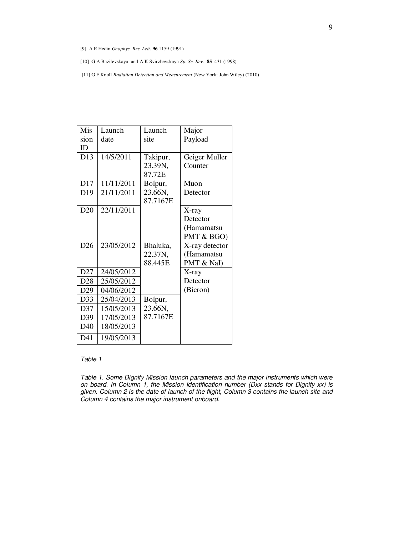- [9] A E Hedin *Geophys. Res. Lett.* **96** 1159 (1991)
- [10] G A Bazilevskaya and A K Svirzhevskaya *Sp. Sc. Rev.* **85** 431 (1998)
- [11] G F Knoll *Radiation Detection and Measurement* (New York: John Wiley) (2010)

| Mis             | Launch     | Launch   |                |
|-----------------|------------|----------|----------------|
|                 |            |          | Major          |
| sion            | date       | site     | Payload        |
| ID              |            |          |                |
| D13             | 14/5/2011  | Takipur, | Geiger Muller  |
|                 |            | 23.39N,  | Counter        |
|                 |            | 87.72E   |                |
| D <sub>17</sub> | 11/11/2011 | Bolpur,  | Muon           |
| D <sub>19</sub> | 21/11/2011 | 23.66N,  | Detector       |
|                 |            | 87.7167E |                |
| D20             | 22/11/2011 |          | X-ray          |
|                 |            |          | Detector       |
|                 |            |          | (Hamamatsu     |
|                 |            |          | PMT & BGO)     |
| D <sub>26</sub> | 23/05/2012 | Bhaluka, | X-ray detector |
|                 |            | 22.37N,  | (Hamamatsu     |
|                 |            | 88.445E  | PMT & NaI)     |
| D27             | 24/05/2012 |          | X-ray          |
| D <sub>28</sub> | 25/05/2012 |          | Detector       |
| D <sub>29</sub> | 04/06/2012 |          | (Bicron)       |
| D33             | 25/04/2013 | Bolpur,  |                |
| D37             | 15/05/2013 | 23.66N,  |                |
| D39             | 17/05/2013 | 87.7167E |                |
| D40             | 18/05/2013 |          |                |
| D41             | 19/05/2013 |          |                |

#### Table 1

Table 1. Some Dignity Mission launch parameters and the major instruments which were on board. In Column 1, the Mission Identification number (Dxx stands for Dignity xx) is given. Column 2 is the date of launch of the flight, Column 3 contains the launch site and Column 4 contains the major instrument onboard.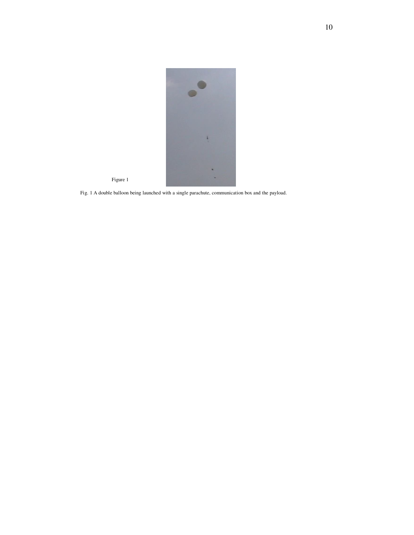

Fig. 1 A double balloon being launched with a single parachute, communication box and the payload.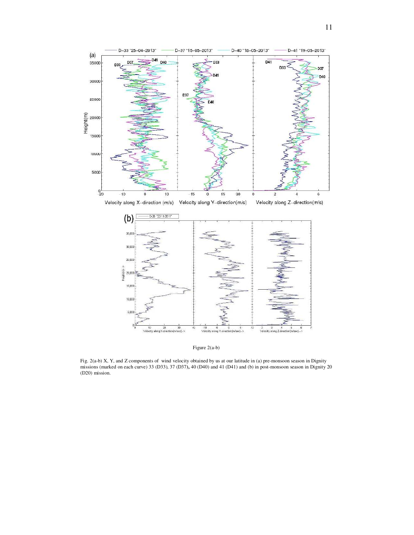

Figure 2(a-b)

Fig. 2(a-b) X, Y, and Z components of wind velocity obtained by us at our latitude in (a) pre-monsoon season in Dignity missions (marked on each curve) 33 (D33), 37 (D37**),** 40 (D40) and 41 (D41) and (b) in post-monsoon season in Dignity 20 (D20) mission.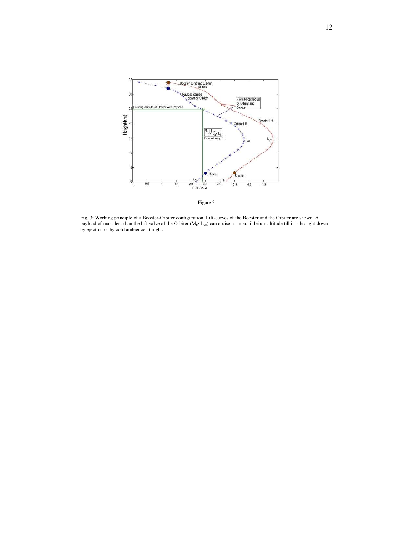

Fig. 3: Working principle of a Booster-Orbiter configuration. Lift-curves of the Booster and the Orbiter are shown. A payload of mass less than the lift-valve of the Orbiter ( $M_p < L_{vo}$ ) can cruise at an equilibrium altitude till it is brought down by ejection or by cold ambience at night.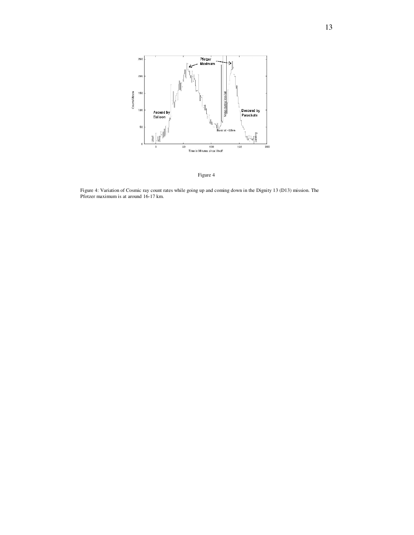

Figure 4

Figure 4: Variation of Cosmic ray count rates while going up and coming down in the Dignity 13 (D13) mission. The Pfotzer maximum is at around 16-17 km.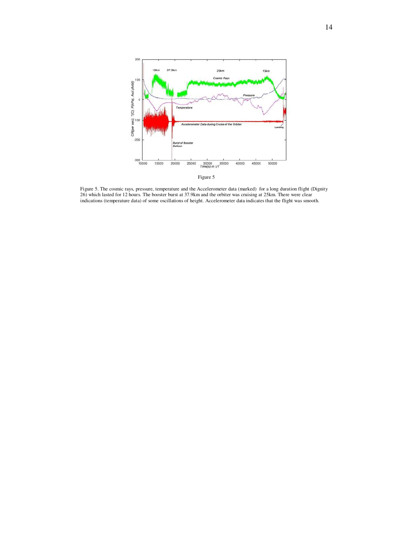

Figure 5. The cosmic rays, pressure, temperature and the Accelerometer data (marked) for a long duration flight (Dignity 26) which lasted for 12 hours. The booster burst at 37.9km and the orbiter was cruising at 25km. There were clear indications (temperature data) of some oscillations of height. Accelerometer data indicates that the flight was smooth.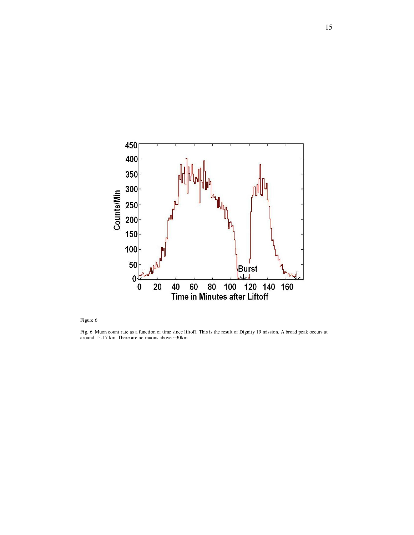

Fig. 6 Muon count rate as a function of time since liftoff. This is the result of Dignity 19 mission. A broad peak occurs at around 15-17 km. There are no muons above ~30km.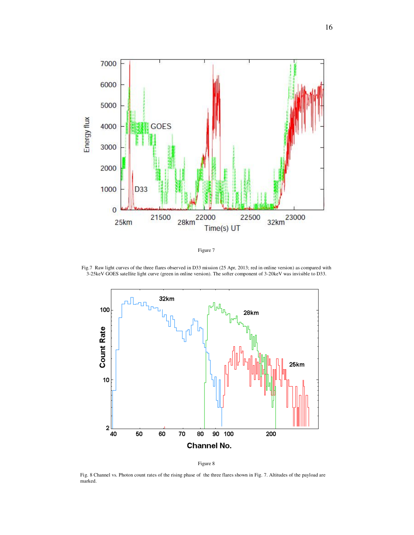

Figure 7

Fig.7 Raw light curves of the three flares observed in D33 mission (25 Apr, 2013; red in online version) as compared with 3-25keV GOES satellite light curve (green in online version). The softer component of 3-20keV was invisible to D33.





Fig. 8 Channel vs. Photon count rates of the rising phase of the three flares shown in Fig. 7. Altitudes of the payload are marked.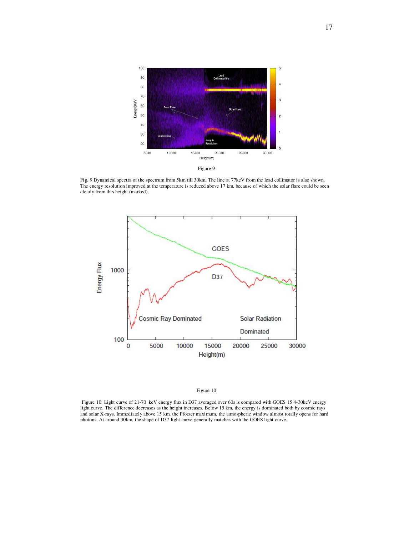

Fig. 9 Dynamical spectra of the spectrum from 5km till 30km. The line at 77keV from the lead collimator is also shown. The energy resolution improved at the temperature is reduced above 17 km, because of which the solar flare could be seen clearly from this height (marked).



 Figure 10: Light curve of 21-70 keV energy flux in D37 averaged over 60s is compared with GOES 15 4-30keV energy light curve. The difference decreases as the height increases. Below 15 km, the energy is dominated both by cosmic rays and solar X-rays. Immediately above 15 km, the Pfotzer maximum, the atmospheric window almost totally opens for hard photons. At around 30km, the shape of D37 light curve generally matches with the GOES light curve.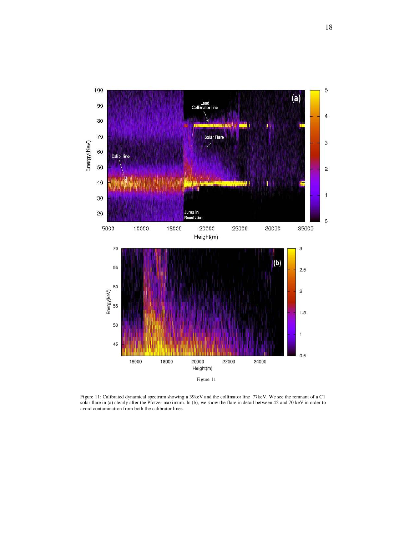

Figure 11: Calibrated dynamical spectrum showing a 39keV and the collimator line 77keV. We see the remnant of a C1 solar flare in (a) clearly after the Pfotzer maximum. In (b), we show the flare in detail between 42 and 70 keV in order to avoid contamination from both the calibrator lines.